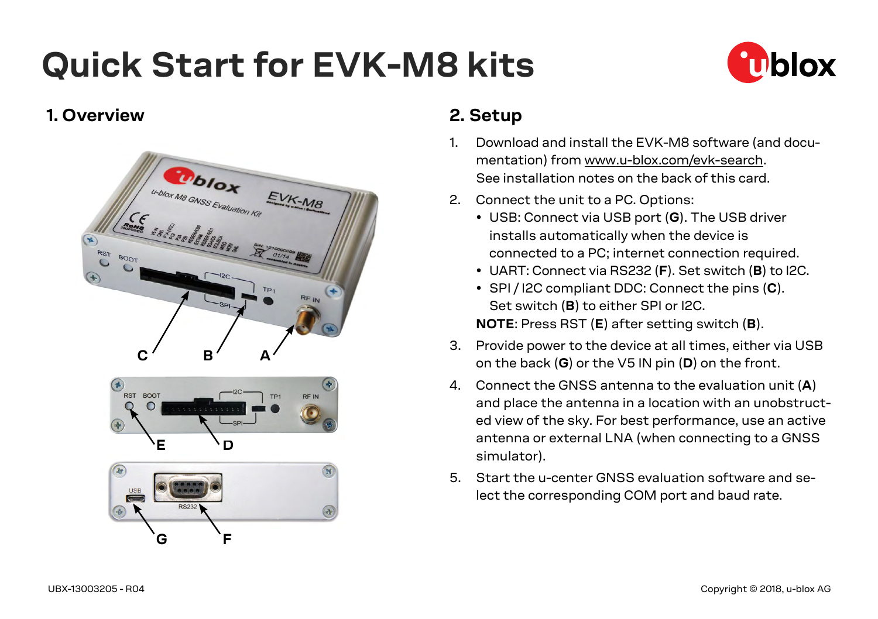# **Quick Start for EVK-M8 kits**



#### **1. Overview**



# **2. Setup**

- 1. Download and install the EVK-M8 software (and documentation) from www.u-blox.com/evk-search. See installation notes on the back of this card.
- 2. Connect the unit to a PC. Options:
	- USB: Connect via USB port (**G**). The USB driver installs automatically when the device is connected to a PC; internet connection required.
	- UART: Connect via RS232 (**F**). Set switch (**B**) to I2C.
	- SPI / I2C compliant DDC: Connect the pins (**C**). Set switch (**B**) to either SPI or I2C. **NOTE**: Press RST (**E**) after setting switch (**B**).
- 3. Provide power to the device at all times, either via USB on the back (**G**) or the V5 IN pin (**D**) on the front.
- 4. Connect the GNSS antenna to the evaluation unit (**A**) and place the antenna in a location with an unobstructed view of the sky. For best performance, use an active antenna or external LNA (when connecting to a GNSS simulator).
- 5. Start the u-center GNSS evaluation software and select the corresponding COM port and baud rate.